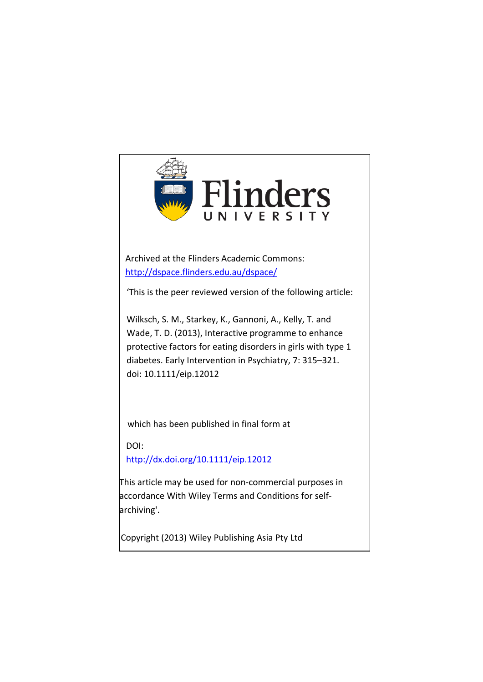

Archived at the Flinders Academic Commons: <http://dspace.flinders.edu.au/dspace/>

'This is the peer reviewed version of the following article:

Wilksch, S. M., Starkey, K., Gannoni, A., Kelly, T. and Wade, T. D. (2013), Interactive programme to enhance protective factors for eating disorders in girls with type 1 diabetes. Early Intervention in Psychiatry, 7: 315–321. [doi: 10.1111/eip.12012](http://dx.doi.org/)

which has been published in final form at

DOI:

http://dx.doi.org/10.1111/eip.12012

This article may be used for non-commercial purposes in accordance With Wiley Terms and Conditions for selfarchiving'.

Copyright (2013) Wiley Publishing Asia Pty Ltd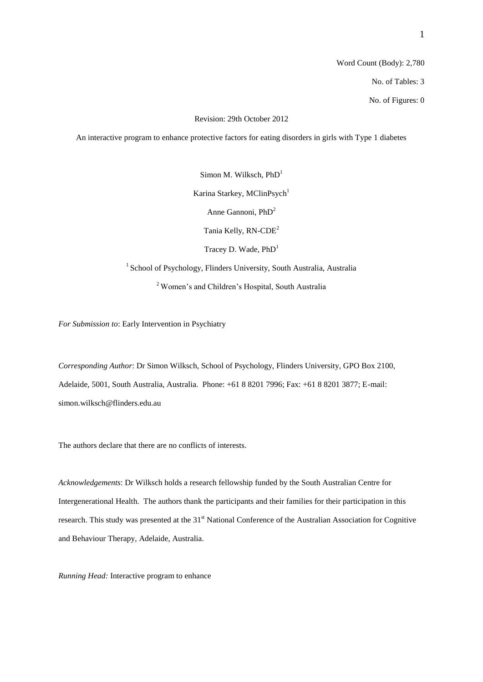Revision: 29th October 2012

An interactive program to enhance protective factors for eating disorders in girls with Type 1 diabetes

Simon M. Wilksch,  $PhD<sup>1</sup>$ Karina Starkey, MClinPsych<sup>1</sup> Anne Gannoni, PhD<sup>2</sup> Tania Kelly, RN-CDE<sup>2</sup> Tracey D. Wade, PhD<sup>1</sup> <sup>1</sup> School of Psychology, Flinders University, South Australia, Australia <sup>2</sup> Women's and Children's Hospital, South Australia

*For Submission to*: Early Intervention in Psychiatry

*Corresponding Author*: Dr Simon Wilksch, School of Psychology, Flinders University, GPO Box 2100, Adelaide, 5001, South Australia, Australia. Phone: +61 8 8201 7996; Fax: +61 8 8201 3877; E-mail: simon.wilksch@flinders.edu.au

The authors declare that there are no conflicts of interests.

*Acknowledgements*: Dr Wilksch holds a research fellowship funded by the South Australian Centre for Intergenerational Health. The authors thank the participants and their families for their participation in this research. This study was presented at the 31<sup>st</sup> National Conference of the Australian Association for Cognitive and Behaviour Therapy, Adelaide, Australia.

*Running Head:* Interactive program to enhance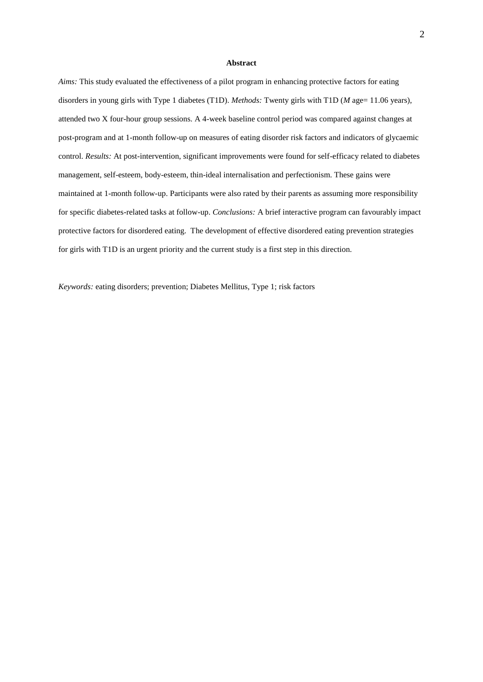#### **Abstract**

*Aims:* This study evaluated the effectiveness of a pilot program in enhancing protective factors for eating disorders in young girls with Type 1 diabetes (T1D). *Methods:* Twenty girls with T1D (*M* age= 11.06 years), attended two X four-hour group sessions. A 4-week baseline control period was compared against changes at post-program and at 1-month follow-up on measures of eating disorder risk factors and indicators of glycaemic control. *Results:* At post-intervention, significant improvements were found for self-efficacy related to diabetes management, self-esteem, body-esteem, thin-ideal internalisation and perfectionism. These gains were maintained at 1-month follow-up. Participants were also rated by their parents as assuming more responsibility for specific diabetes-related tasks at follow-up. *Conclusions:* A brief interactive program can favourably impact protective factors for disordered eating. The development of effective disordered eating prevention strategies for girls with T1D is an urgent priority and the current study is a first step in this direction.

*Keywords:* eating disorders; prevention; Diabetes Mellitus, Type 1; risk factors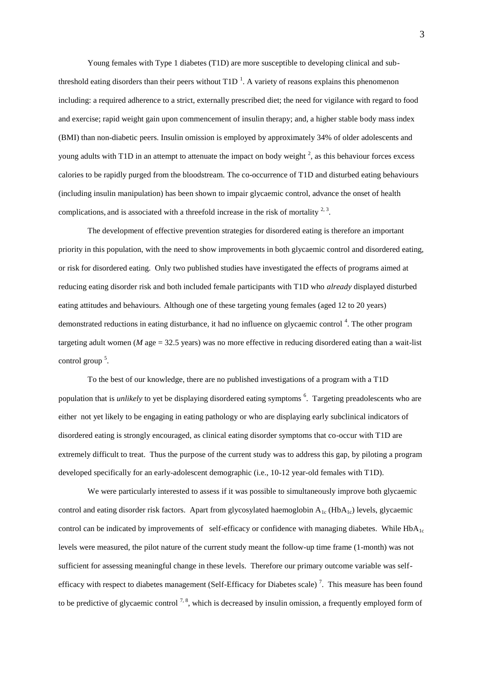Young females with Type 1 diabetes (T1D) are more susceptible to developing clinical and subthreshold eating disorders than their peers without  $T1D<sup>-1</sup>$ . A variety of reasons explains this phenomenon including: a required adherence to a strict, externally prescribed diet; the need for vigilance with regard to food and exercise; rapid weight gain upon commencement of insulin therapy; and, a higher stable body mass index (BMI) than non-diabetic peers. Insulin omission is employed by approximately 34% of older adolescents and young adults with T1D in an attempt to attenuate the impact on body weight  $2$ , as this behaviour forces excess calories to be rapidly purged from the bloodstream. The co-occurrence of T1D and disturbed eating behaviours (including insulin manipulation) has been shown to impair glycaemic control, advance the onset of health complications, and is associated with a threefold increase in the risk of mortality  $2,3$ .

The development of effective prevention strategies for disordered eating is therefore an important priority in this population, with the need to show improvements in both glycaemic control and disordered eating, or risk for disordered eating. Only two published studies have investigated the effects of programs aimed at reducing eating disorder risk and both included female participants with T1D who *already* displayed disturbed eating attitudes and behaviours. Although one of these targeting young females (aged 12 to 20 years) demonstrated reductions in eating disturbance, it had no influence on glycaemic control<sup>4</sup>. The other program targeting adult women ( $M$  age = 32.5 years) was no more effective in reducing disordered eating than a wait-list control group<sup>5</sup>.

To the best of our knowledge, there are no published investigations of a program with a T1D population that is *unlikely* to yet be displaying disordered eating symptoms <sup>6</sup>. Targeting preadolescents who are either not yet likely to be engaging in eating pathology or who are displaying early subclinical indicators of disordered eating is strongly encouraged, as clinical eating disorder symptoms that co-occur with T1D are extremely difficult to treat. Thus the purpose of the current study was to address this gap, by piloting a program developed specifically for an early-adolescent demographic (i.e., 10-12 year-old females with T1D).

We were particularly interested to assess if it was possible to simultaneously improve both glycaemic control and eating disorder risk factors. Apart from glycosylated haemoglobin  $A_{1c}$  (Hb $A_{1c}$ ) levels, glycaemic control can be indicated by improvements of self-efficacy or confidence with managing diabetes. While  $HbA_{1c}$ levels were measured, the pilot nature of the current study meant the follow-up time frame (1-month) was not sufficient for assessing meaningful change in these levels. Therefore our primary outcome variable was selfefficacy with respect to diabetes management (Self-Efficacy for Diabetes scale)<sup>7</sup>. This measure has been found to be predictive of glycaemic control  $^{7, 8}$ , which is decreased by insulin omission, a frequently employed form of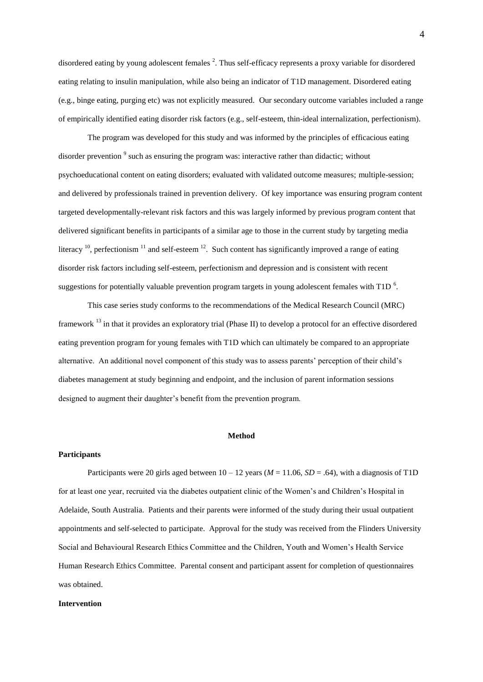disordered eating by young adolescent females<sup>2</sup>. Thus self-efficacy represents a proxy variable for disordered eating relating to insulin manipulation, while also being an indicator of T1D management. Disordered eating (e.g., binge eating, purging etc) was not explicitly measured. Our secondary outcome variables included a range of empirically identified eating disorder risk factors (e.g., self-esteem, thin-ideal internalization, perfectionism).

The program was developed for this study and was informed by the principles of efficacious eating disorder prevention <sup>9</sup> such as ensuring the program was: interactive rather than didactic; without psychoeducational content on eating disorders; evaluated with validated outcome measures; multiple-session; and delivered by professionals trained in prevention delivery. Of key importance was ensuring program content targeted developmentally-relevant risk factors and this was largely informed by previous program content that delivered significant benefits in participants of a similar age to those in the current study by targeting media literacy  $^{10}$ , perfectionism  $^{11}$  and self-esteem  $^{12}$ . Such content has significantly improved a range of eating disorder risk factors including self-esteem, perfectionism and depression and is consistent with recent suggestions for potentially valuable prevention program targets in young adolescent females with T1D<sup>6</sup>.

This case series study conforms to the recommendations of the Medical Research Council (MRC) framework <sup>13</sup> in that it provides an exploratory trial (Phase II) to develop a protocol for an effective disordered eating prevention program for young females with T1D which can ultimately be compared to an appropriate alternative. An additional novel component of this study was to assess parents' perception of their child's diabetes management at study beginning and endpoint, and the inclusion of parent information sessions designed to augment their daughter's benefit from the prevention program.

#### **Method**

#### **Participants**

Participants were 20 girls aged between  $10 - 12$  years ( $M = 11.06$ ,  $SD = .64$ ), with a diagnosis of T1D for at least one year, recruited via the diabetes outpatient clinic of the Women's and Children's Hospital in Adelaide, South Australia. Patients and their parents were informed of the study during their usual outpatient appointments and self-selected to participate. Approval for the study was received from the Flinders University Social and Behavioural Research Ethics Committee and the Children, Youth and Women's Health Service Human Research Ethics Committee. Parental consent and participant assent for completion of questionnaires was obtained.

## **Intervention**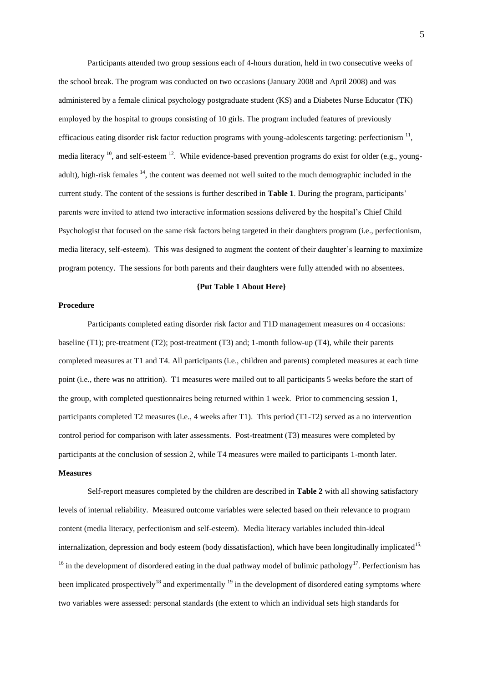Participants attended two group sessions each of 4-hours duration, held in two consecutive weeks of the school break. The program was conducted on two occasions (January 2008 and April 2008) and was administered by a female clinical psychology postgraduate student (KS) and a Diabetes Nurse Educator (TK) employed by the hospital to groups consisting of 10 girls. The program included features of previously efficacious eating disorder risk factor reduction programs with young-adolescents targeting: perfectionism  $11$ , media literacy  $^{10}$ , and self-esteem  $^{12}$ . While evidence-based prevention programs do exist for older (e.g., youngadult), high-risk females <sup>14</sup>, the content was deemed not well suited to the much demographic included in the current study. The content of the sessions is further described in **Table 1**. During the program, participants' parents were invited to attend two interactive information sessions delivered by the hospital's Chief Child Psychologist that focused on the same risk factors being targeted in their daughters program (i.e., perfectionism, media literacy, self-esteem). This was designed to augment the content of their daughter's learning to maximize program potency. The sessions for both parents and their daughters were fully attended with no absentees.

### **{Put Table 1 About Here}**

## **Procedure**

Participants completed eating disorder risk factor and T1D management measures on 4 occasions: baseline (T1); pre-treatment (T2); post-treatment (T3) and; 1-month follow-up (T4), while their parents completed measures at T1 and T4. All participants (i.e., children and parents) completed measures at each time point (i.e., there was no attrition). T1 measures were mailed out to all participants 5 weeks before the start of the group, with completed questionnaires being returned within 1 week. Prior to commencing session 1, participants completed T2 measures (i.e., 4 weeks after T1). This period (T1-T2) served as a no intervention control period for comparison with later assessments. Post-treatment (T3) measures were completed by participants at the conclusion of session 2, while T4 measures were mailed to participants 1-month later.

# **Measures**

Self-report measures completed by the children are described in **Table 2** with all showing satisfactory levels of internal reliability. Measured outcome variables were selected based on their relevance to program content (media literacy, perfectionism and self-esteem). Media literacy variables included thin-ideal internalization, depression and body esteem (body dissatisfaction), which have been longitudinally implicated<sup>15,</sup>  $16$  in the development of disordered eating in the dual pathway model of bulimic pathology<sup>17</sup>. Perfectionism has been implicated prospectively<sup>18</sup> and experimentally <sup>19</sup> in the development of disordered eating symptoms where two variables were assessed: personal standards (the extent to which an individual sets high standards for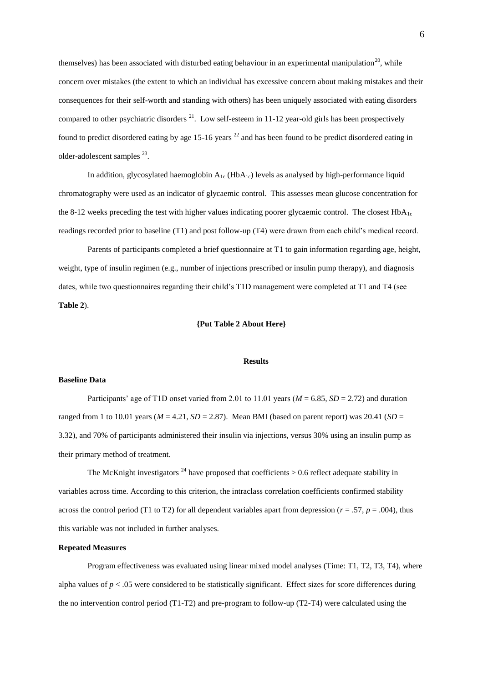themselves) has been associated with disturbed eating behaviour in an experimental manipulation<sup>20</sup>, while concern over mistakes (the extent to which an individual has excessive concern about making mistakes and their consequences for their self-worth and standing with others) has been uniquely associated with eating disorders compared to other psychiatric disorders  $^{21}$ . Low self-esteem in 11-12 year-old girls has been prospectively found to predict disordered eating by age 15-16 years  $^{22}$  and has been found to be predict disordered eating in older-adolescent samples <sup>23</sup>.

In addition, glycosylated haemoglobin  $A_{1c}$  (Hb $A_{1c}$ ) levels as analysed by high-performance liquid chromatography were used as an indicator of glycaemic control. This assesses mean glucose concentration for the 8-12 weeks preceding the test with higher values indicating poorer glycaemic control. The closest  $HbA_{1c}$ readings recorded prior to baseline (T1) and post follow-up (T4) were drawn from each child's medical record.

Parents of participants completed a brief questionnaire at T1 to gain information regarding age, height, weight, type of insulin regimen (e.g., number of injections prescribed or insulin pump therapy), and diagnosis dates, while two questionnaires regarding their child's T1D management were completed at T1 and T4 (see **Table 2**).

# **{Put Table 2 About Here}**

#### **Results**

## **Baseline Data**

Participants' age of T1D onset varied from 2.01 to 11.01 years ( $M = 6.85$ ,  $SD = 2.72$ ) and duration ranged from 1 to 10.01 years ( $M = 4.21$ ,  $SD = 2.87$ ). Mean BMI (based on parent report) was 20.41 ( $SD = 2.87$ ). 3.32), and 70% of participants administered their insulin via injections, versus 30% using an insulin pump as their primary method of treatment.

The McKnight investigators  $^{24}$  have proposed that coefficients  $> 0.6$  reflect adequate stability in variables across time. According to this criterion, the intraclass correlation coefficients confirmed stability across the control period (T1 to T2) for all dependent variables apart from depression ( $r = .57$ ,  $p = .004$ ), thus this variable was not included in further analyses.

### **Repeated Measures**

Program effectiveness was evaluated using linear mixed model analyses (Time: T1, T2, T3, T4), where alpha values of  $p < 0.05$  were considered to be statistically significant. Effect sizes for score differences during the no intervention control period (T1-T2) and pre-program to follow-up (T2-T4) were calculated using the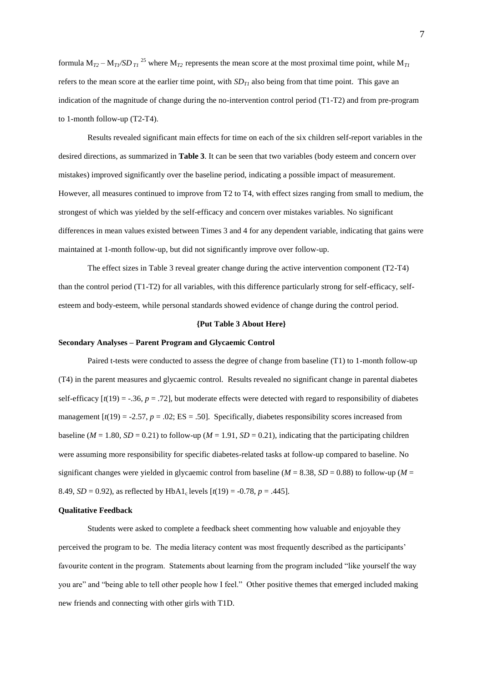formula  $M_{T2} - M_{T1}/SD_{T1}$ <sup>25</sup> where  $M_{T2}$  represents the mean score at the most proximal time point, while  $M_{T1}$ refers to the mean score at the earlier time point, with  $SD<sub>TI</sub>$  also being from that time point. This gave an indication of the magnitude of change during the no-intervention control period (T1-T2) and from pre-program to 1-month follow-up (T2-T4).

Results revealed significant main effects for time on each of the six children self-report variables in the desired directions, as summarized in **Table 3**. It can be seen that two variables (body esteem and concern over mistakes) improved significantly over the baseline period, indicating a possible impact of measurement. However, all measures continued to improve from T2 to T4, with effect sizes ranging from small to medium, the strongest of which was yielded by the self-efficacy and concern over mistakes variables. No significant differences in mean values existed between Times 3 and 4 for any dependent variable, indicating that gains were maintained at 1-month follow-up, but did not significantly improve over follow-up.

The effect sizes in Table 3 reveal greater change during the active intervention component (T2-T4) than the control period (T1-T2) for all variables, with this difference particularly strong for self-efficacy, selfesteem and body-esteem, while personal standards showed evidence of change during the control period.

### **{Put Table 3 About Here}**

#### **Secondary Analyses – Parent Program and Glycaemic Control**

Paired t-tests were conducted to assess the degree of change from baseline (T1) to 1-month follow-up (T4) in the parent measures and glycaemic control. Results revealed no significant change in parental diabetes self-efficacy  $[t(19) = -0.36, p = 0.72]$ , but moderate effects were detected with regard to responsibility of diabetes management  $\lceil t(19) = -2.57, p = .02$ ; ES = .50]. Specifically, diabetes responsibility scores increased from baseline ( $M = 1.80$ ,  $SD = 0.21$ ) to follow-up ( $M = 1.91$ ,  $SD = 0.21$ ), indicating that the participating children were assuming more responsibility for specific diabetes-related tasks at follow-up compared to baseline. No significant changes were yielded in glycaemic control from baseline ( $M = 8.38$ ,  $SD = 0.88$ ) to follow-up ( $M =$ 8.49,  $SD = 0.92$ ), as reflected by HbA1<sub>c</sub> levels  $[t(19) = -0.78, p = .445]$ .

#### **Qualitative Feedback**

Students were asked to complete a feedback sheet commenting how valuable and enjoyable they perceived the program to be. The media literacy content was most frequently described as the participants' favourite content in the program. Statements about learning from the program included "like yourself the way you are" and "being able to tell other people how I feel." Other positive themes that emerged included making new friends and connecting with other girls with T1D.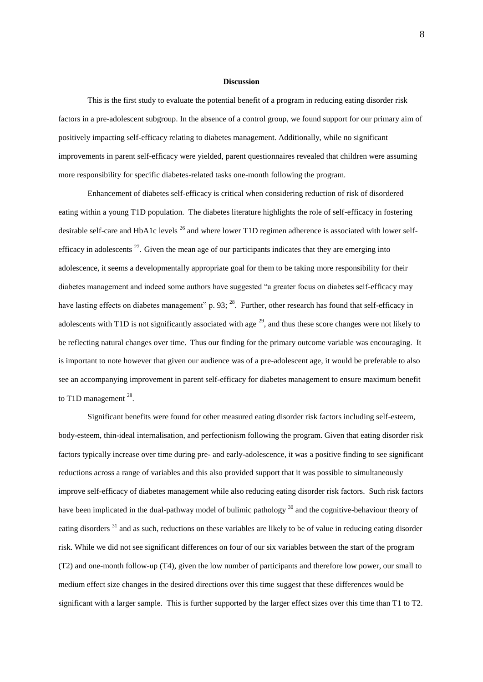#### **Discussion**

This is the first study to evaluate the potential benefit of a program in reducing eating disorder risk factors in a pre-adolescent subgroup. In the absence of a control group, we found support for our primary aim of positively impacting self-efficacy relating to diabetes management. Additionally, while no significant improvements in parent self-efficacy were yielded, parent questionnaires revealed that children were assuming more responsibility for specific diabetes-related tasks one-month following the program.

Enhancement of diabetes self-efficacy is critical when considering reduction of risk of disordered eating within a young T1D population. The diabetes literature highlights the role of self-efficacy in fostering desirable self-care and HbA1c levels<sup>26</sup> and where lower T1D regimen adherence is associated with lower selfefficacy in adolescents  $27$ . Given the mean age of our participants indicates that they are emerging into adolescence, it seems a developmentally appropriate goal for them to be taking more responsibility for their diabetes management and indeed some authors have suggested "a greater focus on diabetes self-efficacy may have lasting effects on diabetes management" p. 93; <sup>28</sup>. Further, other research has found that self-efficacy in adolescents with T1D is not significantly associated with age  $^{29}$ , and thus these score changes were not likely to be reflecting natural changes over time. Thus our finding for the primary outcome variable was encouraging. It is important to note however that given our audience was of a pre-adolescent age, it would be preferable to also see an accompanying improvement in parent self-efficacy for diabetes management to ensure maximum benefit to T1D management  $^{28}$ .

Significant benefits were found for other measured eating disorder risk factors including self-esteem, body-esteem, thin-ideal internalisation, and perfectionism following the program. Given that eating disorder risk factors typically increase over time during pre- and early-adolescence, it was a positive finding to see significant reductions across a range of variables and this also provided support that it was possible to simultaneously improve self-efficacy of diabetes management while also reducing eating disorder risk factors. Such risk factors have been implicated in the dual-pathway model of bulimic pathology <sup>30</sup> and the cognitive-behaviour theory of eating disorders <sup>31</sup> and as such, reductions on these variables are likely to be of value in reducing eating disorder risk. While we did not see significant differences on four of our six variables between the start of the program (T2) and one-month follow-up (T4), given the low number of participants and therefore low power, our small to medium effect size changes in the desired directions over this time suggest that these differences would be significant with a larger sample. This is further supported by the larger effect sizes over this time than T1 to T2.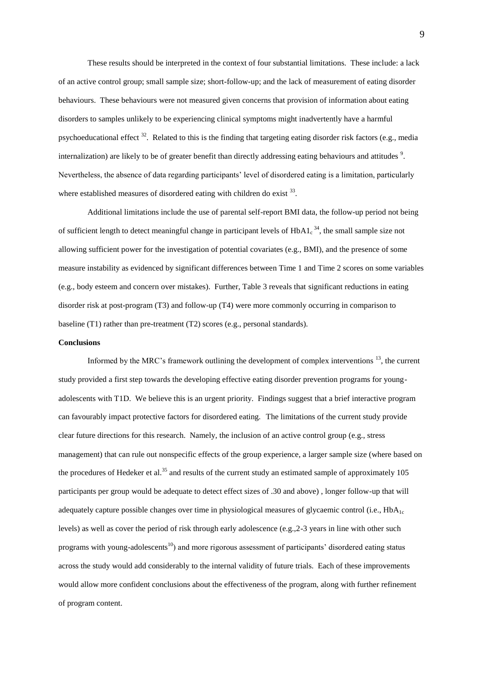These results should be interpreted in the context of four substantial limitations. These include: a lack of an active control group; small sample size; short-follow-up; and the lack of measurement of eating disorder behaviours. These behaviours were not measured given concerns that provision of information about eating disorders to samples unlikely to be experiencing clinical symptoms might inadvertently have a harmful psychoeducational effect <sup>32</sup>. Related to this is the finding that targeting eating disorder risk factors (e.g., media internalization) are likely to be of greater benefit than directly addressing eating behaviours and attitudes  $9$ . Nevertheless, the absence of data regarding participants' level of disordered eating is a limitation, particularly where established measures of disordered eating with children do exist  $33$ .

Additional limitations include the use of parental self-report BMI data, the follow-up period not being of sufficient length to detect meaningful change in participant levels of  $HbA1_c^{34}$ , the small sample size not allowing sufficient power for the investigation of potential covariates (e.g., BMI), and the presence of some measure instability as evidenced by significant differences between Time 1 and Time 2 scores on some variables (e.g., body esteem and concern over mistakes). Further, Table 3 reveals that significant reductions in eating disorder risk at post-program (T3) and follow-up (T4) were more commonly occurring in comparison to baseline (T1) rather than pre-treatment (T2) scores (e.g., personal standards).

### **Conclusions**

Informed by the MRC's framework outlining the development of complex interventions  $^{13}$ , the current study provided a first step towards the developing effective eating disorder prevention programs for youngadolescents with T1D. We believe this is an urgent priority. Findings suggest that a brief interactive program can favourably impact protective factors for disordered eating. The limitations of the current study provide clear future directions for this research. Namely, the inclusion of an active control group (e.g., stress management) that can rule out nonspecific effects of the group experience, a larger sample size (where based on the procedures of Hedeker et al.<sup>35</sup> and results of the current study an estimated sample of approximately 105 participants per group would be adequate to detect effect sizes of .30 and above) , longer follow-up that will adequately capture possible changes over time in physiological measures of glycaemic control (i.e.,  $HbA_{1c}$ ) levels) as well as cover the period of risk through early adolescence (e.g.,2-3 years in line with other such programs with young-adolescents<sup>10</sup>) and more rigorous assessment of participants' disordered eating status across the study would add considerably to the internal validity of future trials. Each of these improvements would allow more confident conclusions about the effectiveness of the program, along with further refinement of program content.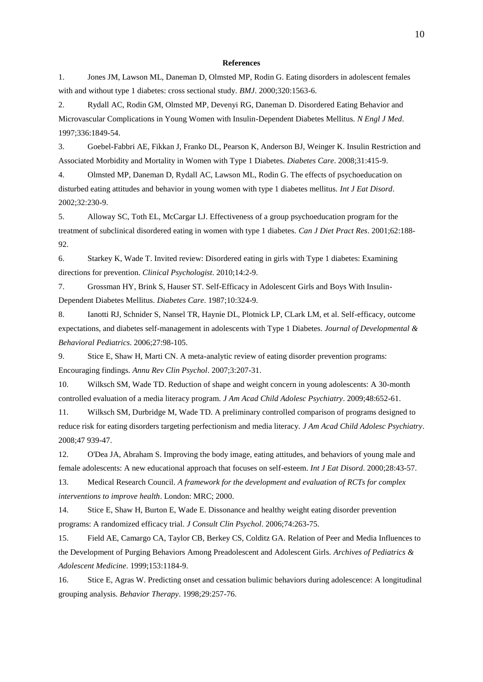#### **References**

1. Jones JM, Lawson ML, Daneman D, Olmsted MP, Rodin G. Eating disorders in adolescent females with and without type 1 diabetes: cross sectional study. *BMJ*. 2000;320:1563-6.

2. Rydall AC, Rodin GM, Olmsted MP, Devenyi RG, Daneman D. Disordered Eating Behavior and Microvascular Complications in Young Women with Insulin-Dependent Diabetes Mellitus. *N Engl J Med*. 1997;336:1849-54.

3. Goebel-Fabbri AE, Fikkan J, Franko DL, Pearson K, Anderson BJ, Weinger K. Insulin Restriction and Associated Morbidity and Mortality in Women with Type 1 Diabetes. *Diabetes Care*. 2008;31:415-9.

4. Olmsted MP, Daneman D, Rydall AC, Lawson ML, Rodin G. The effects of psychoeducation on disturbed eating attitudes and behavior in young women with type 1 diabetes mellitus. *Int J Eat Disord*. 2002;32:230-9.

5. Alloway SC, Toth EL, McCargar LJ. Effectiveness of a group psychoeducation program for the treatment of subclinical disordered eating in women with type 1 diabetes. *Can J Diet Pract Res*. 2001;62:188- 92.

6. Starkey K, Wade T. Invited review: Disordered eating in girls with Type 1 diabetes: Examining directions for prevention. *Clinical Psychologist*. 2010;14:2-9.

7. Grossman HY, Brink S, Hauser ST. Self-Efficacy in Adolescent Girls and Boys With Insulin-Dependent Diabetes Mellitus. *Diabetes Care*. 1987;10:324-9.

8. Ianotti RJ, Schnider S, Nansel TR, Haynie DL, Plotnick LP, CLark LM, et al. Self-efficacy, outcome expectations, and diabetes self-management in adolescents with Type 1 Diabetes. *Journal of Developmental & Behavioral Pediatrics*. 2006;27:98-105.

9. Stice E, Shaw H, Marti CN. A meta-analytic review of eating disorder prevention programs: Encouraging findings. *Annu Rev Clin Psychol*. 2007;3:207-31.

10. Wilksch SM, Wade TD. Reduction of shape and weight concern in young adolescents: A 30-month controlled evaluation of a media literacy program. *J Am Acad Child Adolesc Psychiatry*. 2009;48:652-61.

11. Wilksch SM, Durbridge M, Wade TD. A preliminary controlled comparison of programs designed to reduce risk for eating disorders targeting perfectionism and media literacy. *J Am Acad Child Adolesc Psychiatry*. 2008;47 939-47.

12. O'Dea JA, Abraham S. Improving the body image, eating attitudes, and behaviors of young male and female adolescents: A new educational approach that focuses on self-esteem. *Int J Eat Disord*. 2000;28:43-57.

13. Medical Research Council. *A framework for the development and evaluation of RCTs for complex interventions to improve health*. London: MRC; 2000.

14. Stice E, Shaw H, Burton E, Wade E. Dissonance and healthy weight eating disorder prevention programs: A randomized efficacy trial. *J Consult Clin Psychol*. 2006;74:263-75.

15. Field AE, Camargo CA, Taylor CB, Berkey CS, Colditz GA. Relation of Peer and Media Influences to the Development of Purging Behaviors Among Preadolescent and Adolescent Girls. *Archives of Pediatrics & Adolescent Medicine*. 1999;153:1184-9.

16. Stice E, Agras W. Predicting onset and cessation bulimic behaviors during adolescence: A longitudinal grouping analysis. *Behavior Therapy*. 1998;29:257-76.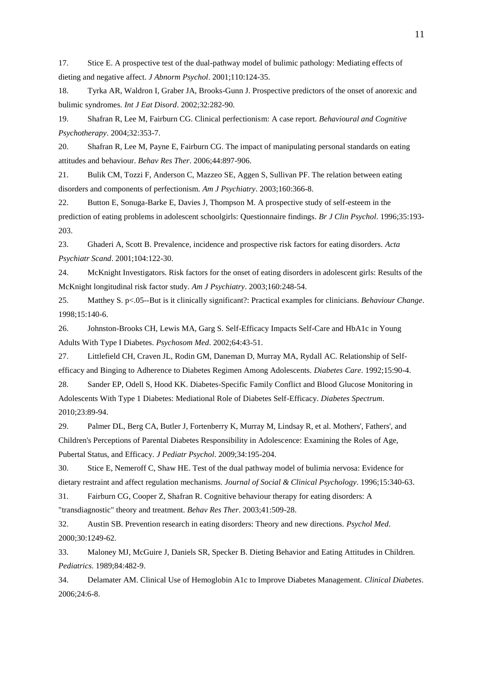17. Stice E. A prospective test of the dual-pathway model of bulimic pathology: Mediating effects of dieting and negative affect. *J Abnorm Psychol*. 2001;110:124-35.

18. Tyrka AR, Waldron I, Graber JA, Brooks-Gunn J. Prospective predictors of the onset of anorexic and bulimic syndromes. *Int J Eat Disord*. 2002;32:282-90.

19. Shafran R, Lee M, Fairburn CG. Clinical perfectionism: A case report. *Behavioural and Cognitive Psychotherapy*. 2004;32:353-7.

20. Shafran R, Lee M, Payne E, Fairburn CG. The impact of manipulating personal standards on eating attitudes and behaviour. *Behav Res Ther*. 2006;44:897-906.

21. Bulik CM, Tozzi F, Anderson C, Mazzeo SE, Aggen S, Sullivan PF. The relation between eating disorders and components of perfectionism. *Am J Psychiatry*. 2003;160:366-8.

22. Button E, Sonuga-Barke E, Davies J, Thompson M. A prospective study of self-esteem in the prediction of eating problems in adolescent schoolgirls: Questionnaire findings. *Br J Clin Psychol*. 1996;35:193- 203.

23. Ghaderi A, Scott B. Prevalence, incidence and prospective risk factors for eating disorders. *Acta Psychiatr Scand*. 2001;104:122-30.

24. McKnight Investigators. Risk factors for the onset of eating disorders in adolescent girls: Results of the McKnight longitudinal risk factor study. *Am J Psychiatry*. 2003;160:248-54.

25. Matthey S. p<.05--But is it clinically significant?: Practical examples for clinicians. *Behaviour Change*. 1998;15:140-6.

26. Johnston-Brooks CH, Lewis MA, Garg S. Self-Efficacy Impacts Self-Care and HbA1c in Young Adults With Type I Diabetes. *Psychosom Med*. 2002;64:43-51.

27. Littlefield CH, Craven JL, Rodin GM, Daneman D, Murray MA, Rydall AC. Relationship of Selfefficacy and Binging to Adherence to Diabetes Regimen Among Adolescents. *Diabetes Care*. 1992;15:90-4.

28. Sander EP, Odell S, Hood KK. Diabetes-Specific Family Conflict and Blood Glucose Monitoring in Adolescents With Type 1 Diabetes: Mediational Role of Diabetes Self-Efficacy. *Diabetes Spectrum*. 2010;23:89-94.

29. Palmer DL, Berg CA, Butler J, Fortenberry K, Murray M, Lindsay R, et al. Mothers', Fathers', and Children's Perceptions of Parental Diabetes Responsibility in Adolescence: Examining the Roles of Age, Pubertal Status, and Efficacy. *J Pediatr Psychol*. 2009;34:195-204.

30. Stice E, Nemeroff C, Shaw HE. Test of the dual pathway model of bulimia nervosa: Evidence for dietary restraint and affect regulation mechanisms. *Journal of Social & Clinical Psychology*. 1996;15:340-63.

31. Fairburn CG, Cooper Z, Shafran R. Cognitive behaviour therapy for eating disorders: A

"transdiagnostic" theory and treatment. *Behav Res Ther*. 2003;41:509-28.

32. Austin SB. Prevention research in eating disorders: Theory and new directions. *Psychol Med*. 2000;30:1249-62.

33. Maloney MJ, McGuire J, Daniels SR, Specker B. Dieting Behavior and Eating Attitudes in Children. *Pediatrics*. 1989;84:482-9.

34. Delamater AM. Clinical Use of Hemoglobin A1c to Improve Diabetes Management. *Clinical Diabetes*. 2006;24:6-8.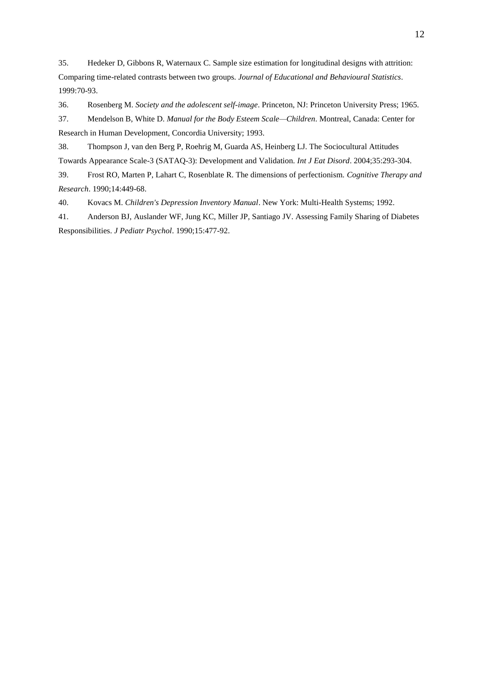35. Hedeker D, Gibbons R, Waternaux C. Sample size estimation for longitudinal designs with attrition: Comparing time-related contrasts between two groups. *Journal of Educational and Behavioural Statistics*. 1999:70-93.

36. Rosenberg M. *Society and the adolescent self-image*. Princeton, NJ: Princeton University Press; 1965.

37. Mendelson B, White D. *Manual for the Body Esteem Scale—Children*. Montreal, Canada: Center for Research in Human Development, Concordia University; 1993.

38. Thompson J, van den Berg P, Roehrig M, Guarda AS, Heinberg LJ. The Sociocultural Attitudes Towards Appearance Scale-3 (SATAQ-3): Development and Validation. *Int J Eat Disord*. 2004;35:293-304.

39. Frost RO, Marten P, Lahart C, Rosenblate R. The dimensions of perfectionism. *Cognitive Therapy and Research*. 1990;14:449-68.

40. Kovacs M. *Children's Depression Inventory Manual*. New York: Multi-Health Systems; 1992.

41. Anderson BJ, Auslander WF, Jung KC, Miller JP, Santiago JV. Assessing Family Sharing of Diabetes Responsibilities. *J Pediatr Psychol*. 1990;15:477-92.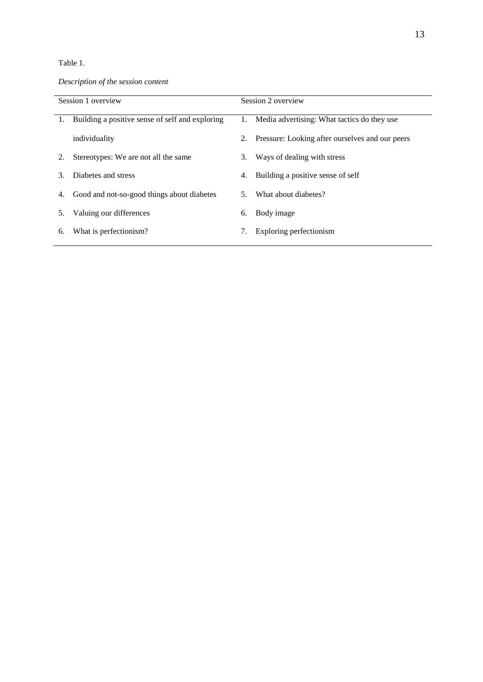# Table 1.

*Description of the session content*

| Session 1 overview |                                                 |    | Session 2 overview                                 |  |  |  |  |
|--------------------|-------------------------------------------------|----|----------------------------------------------------|--|--|--|--|
|                    |                                                 |    |                                                    |  |  |  |  |
| 1.                 | Building a positive sense of self and exploring |    | 1. Media advertising: What tactics do they use     |  |  |  |  |
|                    | individuality                                   |    | 2. Pressure: Looking after ourselves and our peers |  |  |  |  |
|                    | Stereotypes: We are not all the same            | 3. | Ways of dealing with stress                        |  |  |  |  |
| 3                  | Diabetes and stress                             | 4. | Building a positive sense of self                  |  |  |  |  |
| 4.                 | Good and not-so-good things about diabetes      | 5. | What about diabetes?                               |  |  |  |  |
| 5.                 | Valuing our differences                         | 6. | Body image                                         |  |  |  |  |
| 6.                 | What is perfectionism?                          | 7. | Exploring perfectionism                            |  |  |  |  |
|                    |                                                 |    |                                                    |  |  |  |  |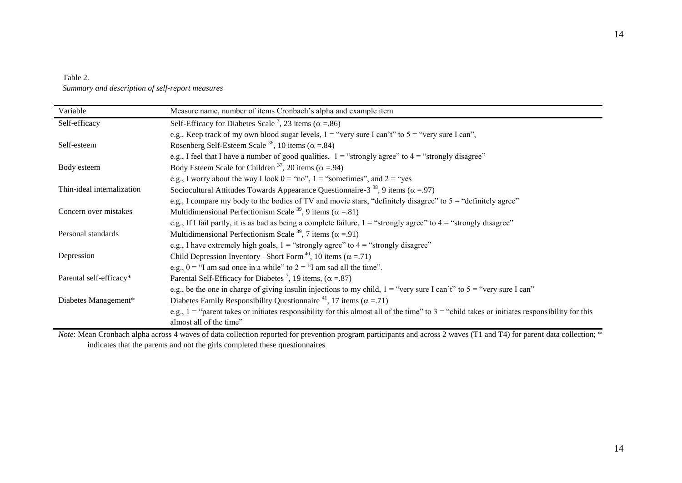# Table 2. *Summary and description of self-report measures*

| Variable                   | Measure name, number of items Cronbach's alpha and example item                                                                                   |  |  |  |  |  |
|----------------------------|---------------------------------------------------------------------------------------------------------------------------------------------------|--|--|--|--|--|
| Self-efficacy              | Self-Efficacy for Diabetes Scale <sup>7</sup> , 23 items ( $\alpha$ = .86)                                                                        |  |  |  |  |  |
|                            | e.g., Keep track of my own blood sugar levels, $1 =$ "very sure I can't" to $5 =$ "very sure I can",                                              |  |  |  |  |  |
| Self-esteem                | Rosenberg Self-Esteem Scale <sup>36</sup> , 10 items ( $\alpha$ = 84)                                                                             |  |  |  |  |  |
|                            | e.g., I feel that I have a number of good qualities, $1 =$ "strongly agree" to $4 =$ "strongly disagree"                                          |  |  |  |  |  |
| Body esteem                | Body Esteem Scale for Children <sup>37</sup> , 20 items ( $\alpha$ = .94)                                                                         |  |  |  |  |  |
|                            | e.g., I worry about the way I look $0 = \text{``no''}, 1 = \text{``sometimes''},$ and $2 = \text{``yes}$                                          |  |  |  |  |  |
| Thin-ideal internalization | Sociocultural Attitudes Towards Appearance Questionnaire-3 <sup>38</sup> , 9 items ( $\alpha$ = 97)                                               |  |  |  |  |  |
|                            | e.g., I compare my body to the bodies of TV and movie stars, "definitely disagree" to $5 =$ "definitely agree"                                    |  |  |  |  |  |
| Concern over mistakes      | Multidimensional Perfectionism Scale <sup>39</sup> , 9 items ( $\alpha$ = 81)                                                                     |  |  |  |  |  |
|                            | e.g., If I fail partly, it is as bad as being a complete failure, $1 =$ "strongly agree" to $4 =$ "strongly disagree"                             |  |  |  |  |  |
| Personal standards         | Multidimensional Perfectionism Scale <sup>39</sup> , 7 items ( $\alpha$ = 91)                                                                     |  |  |  |  |  |
|                            | e.g., I have extremely high goals, $1 =$ "strongly agree" to $4 =$ "strongly disagree"                                                            |  |  |  |  |  |
| Depression                 | Child Depression Inventory –Short Form <sup>40</sup> , 10 items ( $\alpha$ = .71)                                                                 |  |  |  |  |  |
|                            | e.g., $0 =$ "I am sad once in a while" to $2 =$ "I am sad all the time".                                                                          |  |  |  |  |  |
| Parental self-efficacy*    | Parental Self-Efficacy for Diabetes <sup>7</sup> , 19 items, ( $\alpha$ = .87)                                                                    |  |  |  |  |  |
|                            | e.g., be the one in charge of giving insulin injections to my child, $1 =$ "very sure I can't" to $5 =$ "very sure I can"                         |  |  |  |  |  |
| Diabetes Management*       | Diabetes Family Responsibility Questionnaire <sup>41</sup> , 17 items ( $\alpha$ = .71)                                                           |  |  |  |  |  |
|                            | e.g., $1 =$ "parent takes or initiates responsibility for this almost all of the time" to $3 =$ "child takes or initiates responsibility for this |  |  |  |  |  |
|                            | almost all of the time"                                                                                                                           |  |  |  |  |  |

*Note*: Mean Cronbach alpha across 4 waves of data collection reported for prevention program participants and across 2 waves (T1 and T4) for parent data collection;  $*$ indicates that the parents and not the girls completed these questionnaires